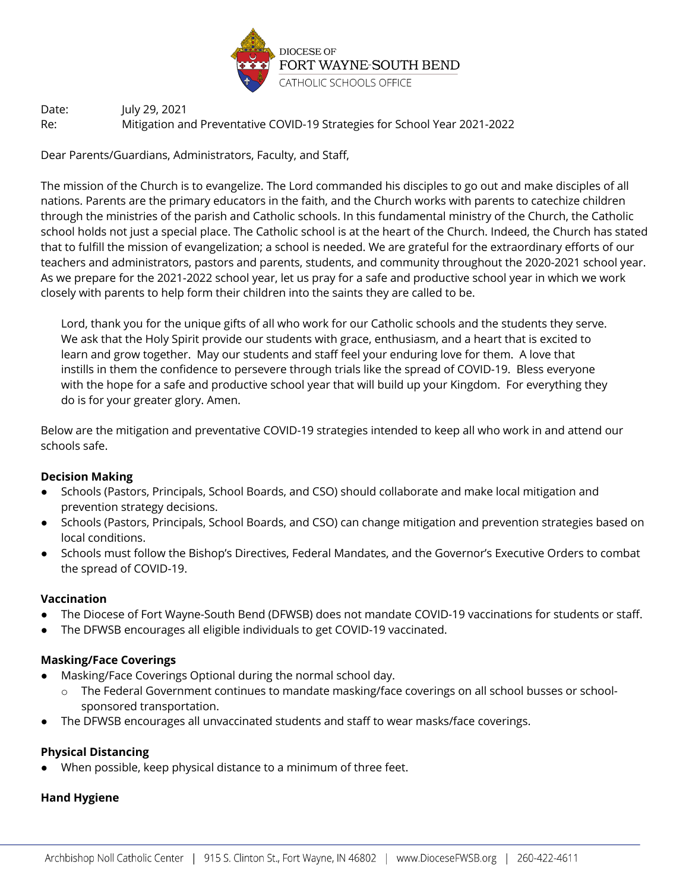

Date: July 29, 2021 Re: Mitigation and Preventative COVID-19 Strategies for School Year 2021-2022

Dear Parents/Guardians, Administrators, Faculty, and Staff,

The mission of the Church is to evangelize. The Lord commanded his disciples to go out and make disciples of all nations. Parents are the primary educators in the faith, and the Church works with parents to catechize children through the ministries of the parish and Catholic schools. In this fundamental ministry of the Church, the Catholic school holds not just a special place. The Catholic school is at the heart of the Church. Indeed, the Church has stated that to fulfill the mission of evangelization; a school is needed. We are grateful for the extraordinary efforts of our teachers and administrators, pastors and parents, students, and community throughout the 2020-2021 school year. As we prepare for the 2021-2022 school year, let us pray for a safe and productive school year in which we work closely with parents to help form their children into the saints they are called to be.

Lord, thank you for the unique gifts of all who work for our Catholic schools and the students they serve. We ask that the Holy Spirit provide our students with grace, enthusiasm, and a heart that is excited to learn and grow together. May our students and staff feel your enduring love for them. A love that instills in them the confidence to persevere through trials like the spread of COVID-19. Bless everyone with the hope for a safe and productive school year that will build up your Kingdom. For everything they do is for your greater glory. Amen.

Below are the mitigation and preventative COVID-19 strategies intended to keep all who work in and attend our schools safe.

## **Decision Making**

- Schools (Pastors, Principals, School Boards, and CSO) should collaborate and make local mitigation and prevention strategy decisions.
- Schools (Pastors, Principals, School Boards, and CSO) can change mitigation and prevention strategies based on local conditions.
- Schools must follow the Bishop's Directives, Federal Mandates, and the Governor's Executive Orders to combat the spread of COVID-19.

## **Vaccination**

- The Diocese of Fort Wayne-South Bend (DFWSB) does not mandate COVID-19 vaccinations for students or staff.
- The DFWSB encourages all eligible individuals to get COVID-19 vaccinated.

### **Masking/Face Coverings**

- Masking/Face Coverings Optional during the normal school day.
	- o The Federal Government continues to mandate masking/face coverings on all school busses or schoolsponsored transportation.
- The DFWSB encourages all unvaccinated students and staff to wear masks/face coverings.

## **Physical Distancing**

When possible, keep physical distance to a minimum of three feet.

### **Hand Hygiene**